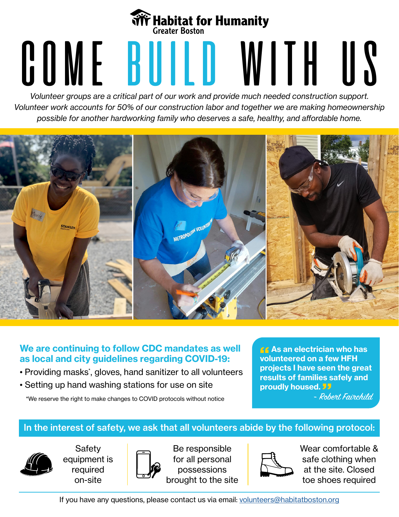## **We Habitat for Humanity<br>
Creater Boston**<br> **COMERTY BUILD WITH IIS**

*Volunteer groups are a critical part of our work and provide much needed construction support. Volunteer work accounts for 50% of our construction labor and together we are making homeownership possible for another hardworking family who deserves a safe, healthy, and affordable home.* 



## **We are continuing to follow CDC mandates as well as local and city guidelines regarding COVID-19:**

- Providing masks\* , gloves, hand sanitizer to all volunteers
- Setting up hand washing stations for use on site

\*We reserve the right to make changes to COVID protocols without notice

**As an electrician who has volunteered on a few HFH projects I have seen the great results of families safely and proudly housed.** 

- Robert Fairchild.

## In the interest of safety, we ask that all volunteers abide by the following protocol:



Safety equipment is required on-site



Be responsible for all personal possessions brought to the site



Wear comfortable & safe clothing when at the site. Closed toe shoes required

If you have any questions, please contact us via email: [volunteers@habitatboston.org](mailto:volunteers%40habitatboston.org?subject=)